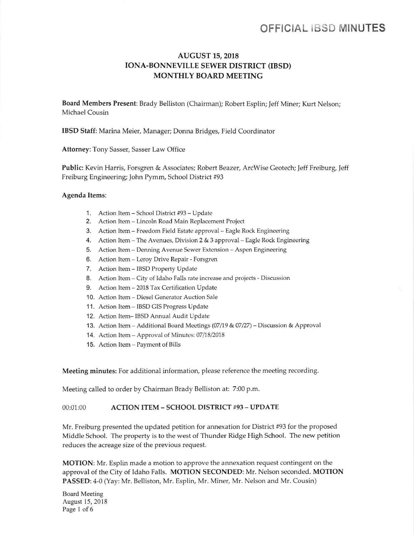# OFFICIAL IBSD MINUTES

## AUGUST 15,2018 IONA-BONNEVILLE SEWER DISTRICT (IBSD) MONTHLY BOARD MEETING

Board Members Present: Brady Belliston (Chairman); Robert Esplin; Jeff Miner; Kurt Nelson; Michael Cousin

IBSD Staff: Marina Meier, Manager; Donna Bridges, Field Coordinator

Attomey: Tony Sasser, Sasser Law Office

Public: Kevin Harris, Forsgren & Associates; Robert Beazer, ArcWise Geotech; Jeff Freiburg, Jeff Freiburg Engineering; John Pymm, School District #93

#### Agenda Items:

- 1. Action Item School District #93 Update
- 2. Action ltem Lincoln Road Main Replacement Project
- 3. Action ltem Freedom Field Estate approval Eagle Rock Engineering
- 4. Action Item The Avenues, Division 2 & 3 approval Eagle Rock Engineering
- 5, Action ltem Denning Avenue Sewer Extension Aspen Engineering
- 6. Action Item Leroy Drive Repair Forsgren
- 7. Action Item IBSD Property Update
- 8. Action Item City of Idaho Falls rate increase and projects Discussion
- 9. Action ltem 2018 Tax Certification Update
- 10. Action Item Diesel Generator Auction Sale
- 11. Action Item IBSD GIS Progress Update
- <sup>1</sup><sup>2</sup>. Action ltem- IBSD Annual Audit Update
- 13. Action Item Additional Board Meetings  $(07/19 & 07/27)$  Discussion & Approval
- 14. Action Item Approval of Minutes: 07/18/2018
- 15. Action ltem Payment of Bills

Meeting minutes: For additional information, please reference the meeting recording

Meeting called to order by Chairman Brady Belliston at: 7:00 p.m.

### 00:01:00 ACTION ITEM - SCHOOL DISTRICT #93 - UPDATE

Mr. Freiburg presented the updated petition for annexation for District #93 for the proposed Middle School. The property is to the west of Thunder Ridge High School. The new petition reduces the acreage size of the previous request.

MOTION: Mr. Esplin made a motion to approve the annexation request contingent on the approval of the City of Idaho Falls. MOTION SECONDED: Mr. Nelson seconded. MOTION PASSED: 4-0 (Yay: Mr. Belliston, Mr. Esplin, Mr. Miner, Mr. Nelson and Mr. Cousin)

Board Meeting August 15,2018 Page 1 of 6